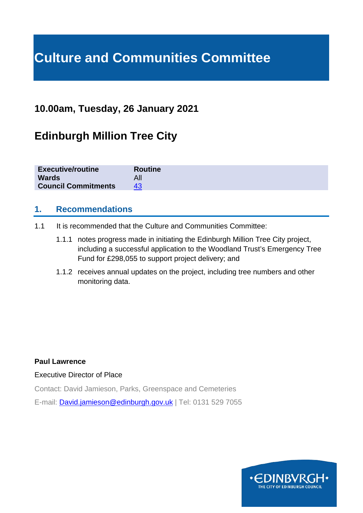# **Culture and Communities Committee**

# **10.00am, Tuesday, 26 January 2021**

# **Edinburgh Million Tree City**

| <b>Executive/routine</b>   | <b>Routine</b> |
|----------------------------|----------------|
| <b>Wards</b>               |                |
| <b>Council Commitments</b> | 43             |

#### **1. Recommendations**

- 1.1 It is recommended that the Culture and Communities Committee:
	- 1.1.1 notes progress made in initiating the Edinburgh Million Tree City project, including a successful application to the Woodland Trust's Emergency Tree Fund for £298,055 to support project delivery; and
	- 1.1.2 receives annual updates on the project, including tree numbers and other monitoring data.

#### **Paul Lawrence**

Executive Director of Place

Contact: David Jamieson, Parks, Greenspace and Cemeteries E-mail: **[David.jamieson@edinburgh.gov.uk](mailto:David.jamieson@edinburgh.gov.uk)** | Tel: 0131 529 7055

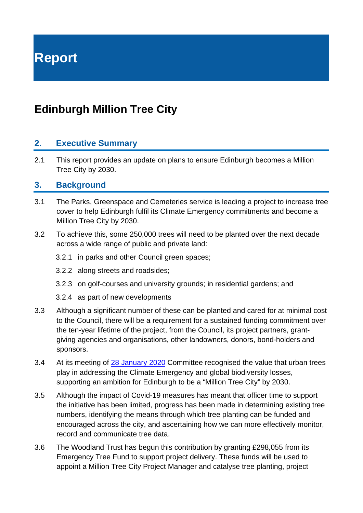**Report**

# **Edinburgh Million Tree City**

#### **2. Executive Summary**

2.1 This report provides an update on plans to ensure Edinburgh becomes a Million Tree City by 2030.

#### **3. Background**

- 3.1 The Parks, Greenspace and Cemeteries service is leading a project to increase tree cover to help Edinburgh fulfil its Climate Emergency commitments and become a Million Tree City by 2030.
- 3.2 To achieve this, some 250,000 trees will need to be planted over the next decade across a wide range of public and private land:
	- 3.2.1 in parks and other Council green spaces;
	- 3.2.2 along streets and roadsides;
	- 3.2.3 on golf-courses and university grounds; in residential gardens; and
	- 3.2.4 as part of new developments
- 3.3 Although a significant number of these can be planted and cared for at minimal cost to the Council, there will be a requirement for a sustained funding commitment over the ten-year lifetime of the project, from the Council, its project partners, grantgiving agencies and organisations, other landowners, donors, bond-holders and sponsors.
- 3.4 At its meeting of [28 January 2020](https://democracy.edinburgh.gov.uk/ieListDocuments.aspx?CId=139&MId=454&Ver=4) Committee recognised the value that urban trees play in addressing the Climate Emergency and global biodiversity losses, supporting an ambition for Edinburgh to be a "Million Tree City" by 2030.
- 3.5 Although the impact of Covid-19 measures has meant that officer time to support the initiative has been limited, progress has been made in determining existing tree numbers, identifying the means through which tree planting can be funded and encouraged across the city, and ascertaining how we can more effectively monitor, record and communicate tree data.
- 3.6 The Woodland Trust has begun this contribution by granting £298,055 from its Emergency Tree Fund to support project delivery. These funds will be used to appoint a Million Tree City Project Manager and catalyse tree planting, project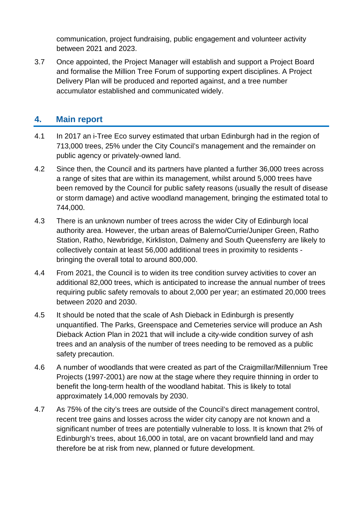communication, project fundraising, public engagement and volunteer activity between 2021 and 2023.

3.7 Once appointed, the Project Manager will establish and support a Project Board and formalise the Million Tree Forum of supporting expert disciplines. A Project Delivery Plan will be produced and reported against, and a tree number accumulator established and communicated widely.

### **4. Main report**

- 4.1 In 2017 an i-Tree Eco survey estimated that urban Edinburgh had in the region of 713,000 trees, 25% under the City Council's management and the remainder on public agency or privately-owned land.
- 4.2 Since then, the Council and its partners have planted a further 36,000 trees across a range of sites that are within its management, whilst around 5,000 trees have been removed by the Council for public safety reasons (usually the result of disease or storm damage) and active woodland management, bringing the estimated total to 744,000.
- 4.3 There is an unknown number of trees across the wider City of Edinburgh local authority area. However, the urban areas of Balerno/Currie/Juniper Green, Ratho Station, Ratho, Newbridge, Kirkliston, Dalmeny and South Queensferry are likely to collectively contain at least 56,000 additional trees in proximity to residents bringing the overall total to around 800,000.
- 4.4 From 2021, the Council is to widen its tree condition survey activities to cover an additional 82,000 trees, which is anticipated to increase the annual number of trees requiring public safety removals to about 2,000 per year; an estimated 20,000 trees between 2020 and 2030.
- 4.5 It should be noted that the scale of Ash Dieback in Edinburgh is presently unquantified. The Parks, Greenspace and Cemeteries service will produce an Ash Dieback Action Plan in 2021 that will include a city-wide condition survey of ash trees and an analysis of the number of trees needing to be removed as a public safety precaution.
- 4.6 A number of woodlands that were created as part of the Craigmillar/Millennium Tree Projects (1997-2001) are now at the stage where they require thinning in order to benefit the long-term health of the woodland habitat. This is likely to total approximately 14,000 removals by 2030.
- 4.7 As 75% of the city's trees are outside of the Council's direct management control, recent tree gains and losses across the wider city canopy are not known and a significant number of trees are potentially vulnerable to loss. It is known that 2% of Edinburgh's trees, about 16,000 in total, are on vacant brownfield land and may therefore be at risk from new, planned or future development.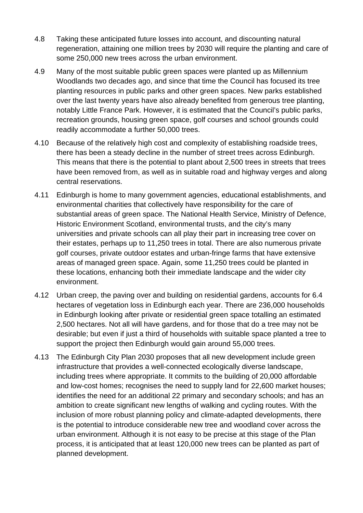- 4.8 Taking these anticipated future losses into account, and discounting natural regeneration, attaining one million trees by 2030 will require the planting and care of some 250,000 new trees across the urban environment.
- 4.9 Many of the most suitable public green spaces were planted up as Millennium Woodlands two decades ago, and since that time the Council has focused its tree planting resources in public parks and other green spaces. New parks established over the last twenty years have also already benefited from generous tree planting, notably Little France Park. However, it is estimated that the Council's public parks, recreation grounds, housing green space, golf courses and school grounds could readily accommodate a further 50,000 trees.
- 4.10 Because of the relatively high cost and complexity of establishing roadside trees, there has been a steady decline in the number of street trees across Edinburgh. This means that there is the potential to plant about 2,500 trees in streets that trees have been removed from, as well as in suitable road and highway verges and along central reservations.
- 4.11 Edinburgh is home to many government agencies, educational establishments, and environmental charities that collectively have responsibility for the care of substantial areas of green space. The National Health Service, Ministry of Defence, Historic Environment Scotland, environmental trusts, and the city's many universities and private schools can all play their part in increasing tree cover on their estates, perhaps up to 11,250 trees in total. There are also numerous private golf courses, private outdoor estates and urban-fringe farms that have extensive areas of managed green space. Again, some 11,250 trees could be planted in these locations, enhancing both their immediate landscape and the wider city environment.
- 4.12 Urban creep, the paving over and building on residential gardens, accounts for 6.4 hectares of vegetation loss in Edinburgh each year. There are 236,000 households in Edinburgh looking after private or residential green space totalling an estimated 2,500 hectares. Not all will have gardens, and for those that do a tree may not be desirable; but even if just a third of households with suitable space planted a tree to support the project then Edinburgh would gain around 55,000 trees.
- 4.13 The Edinburgh City Plan 2030 proposes that all new development include green infrastructure that provides a well-connected ecologically diverse landscape, including trees where appropriate. It commits to the building of 20,000 affordable and low-cost homes; recognises the need to supply land for 22,600 market houses; identifies the need for an additional 22 primary and secondary schools; and has an ambition to create significant new lengths of walking and cycling routes. With the inclusion of more robust planning policy and climate-adapted developments, there is the potential to introduce considerable new tree and woodland cover across the urban environment. Although it is not easy to be precise at this stage of the Plan process, it is anticipated that at least 120,000 new trees can be planted as part of planned development.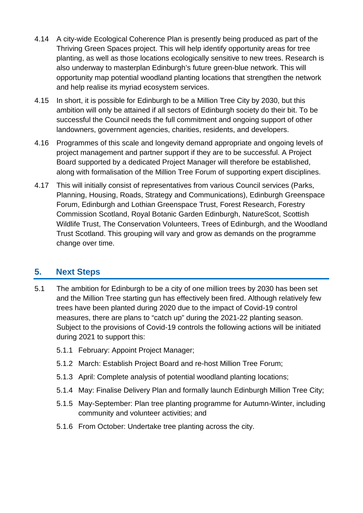- 4.14 A city-wide Ecological Coherence Plan is presently being produced as part of the Thriving Green Spaces project. This will help identify opportunity areas for tree planting, as well as those locations ecologically sensitive to new trees. Research is also underway to masterplan Edinburgh's future green-blue network. This will opportunity map potential woodland planting locations that strengthen the network and help realise its myriad ecosystem services.
- 4.15 In short, it is possible for Edinburgh to be a Million Tree City by 2030, but this ambition will only be attained if all sectors of Edinburgh society do their bit. To be successful the Council needs the full commitment and ongoing support of other landowners, government agencies, charities, residents, and developers.
- 4.16 Programmes of this scale and longevity demand appropriate and ongoing levels of project management and partner support if they are to be successful. A Project Board supported by a dedicated Project Manager will therefore be established, along with formalisation of the Million Tree Forum of supporting expert disciplines.
- 4.17 This will initially consist of representatives from various Council services (Parks, Planning, Housing, Roads, Strategy and Communications), Edinburgh Greenspace Forum, Edinburgh and Lothian Greenspace Trust, Forest Research, Forestry Commission Scotland, Royal Botanic Garden Edinburgh, NatureScot, Scottish Wildlife Trust, The Conservation Volunteers, Trees of Edinburgh, and the Woodland Trust Scotland. This grouping will vary and grow as demands on the programme change over time.

### **5. Next Steps**

- 5.1 The ambition for Edinburgh to be a city of one million trees by 2030 has been set and the Million Tree starting gun has effectively been fired. Although relatively few trees have been planted during 2020 due to the impact of Covid-19 control measures, there are plans to "catch up" during the 2021-22 planting season. Subject to the provisions of Covid-19 controls the following actions will be initiated during 2021 to support this:
	- 5.1.1 February: Appoint Project Manager;
	- 5.1.2 March: Establish Project Board and re-host Million Tree Forum;
	- 5.1.3 April: Complete analysis of potential woodland planting locations;
	- 5.1.4 May: Finalise Delivery Plan and formally launch Edinburgh Million Tree City;
	- 5.1.5 May-September: Plan tree planting programme for Autumn-Winter, including community and volunteer activities; and
	- 5.1.6 From October: Undertake tree planting across the city.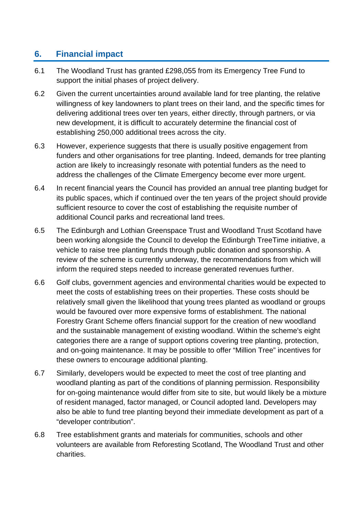# **6. Financial impact**

- 6.1 The Woodland Trust has granted £298,055 from its Emergency Tree Fund to support the initial phases of project delivery.
- 6.2 Given the current uncertainties around available land for tree planting, the relative willingness of key landowners to plant trees on their land, and the specific times for delivering additional trees over ten years, either directly, through partners, or via new development, it is difficult to accurately determine the financial cost of establishing 250,000 additional trees across the city.
- 6.3 However, experience suggests that there is usually positive engagement from funders and other organisations for tree planting. Indeed, demands for tree planting action are likely to increasingly resonate with potential funders as the need to address the challenges of the Climate Emergency become ever more urgent.
- 6.4 In recent financial years the Council has provided an annual tree planting budget for its public spaces, which if continued over the ten years of the project should provide sufficient resource to cover the cost of establishing the requisite number of additional Council parks and recreational land trees.
- 6.5 The Edinburgh and Lothian Greenspace Trust and Woodland Trust Scotland have been working alongside the Council to develop the Edinburgh TreeTime initiative, a vehicle to raise tree planting funds through public donation and sponsorship. A review of the scheme is currently underway, the recommendations from which will inform the required steps needed to increase generated revenues further.
- 6.6 Golf clubs, government agencies and environmental charities would be expected to meet the costs of establishing trees on their properties. These costs should be relatively small given the likelihood that young trees planted as woodland or groups would be favoured over more expensive forms of establishment. The national Forestry Grant Scheme offers financial support for the creation of new woodland and the sustainable management of existing woodland. Within the scheme's eight categories there are a range of support options covering tree planting, protection, and on-going maintenance. It may be possible to offer "Million Tree" incentives for these owners to encourage additional planting.
- 6.7 Similarly, developers would be expected to meet the cost of tree planting and woodland planting as part of the conditions of planning permission. Responsibility for on-going maintenance would differ from site to site, but would likely be a mixture of resident managed, factor managed, or Council adopted land. Developers may also be able to fund tree planting beyond their immediate development as part of a "developer contribution".
- 6.8 Tree establishment grants and materials for communities, schools and other volunteers are available from Reforesting Scotland, The Woodland Trust and other charities.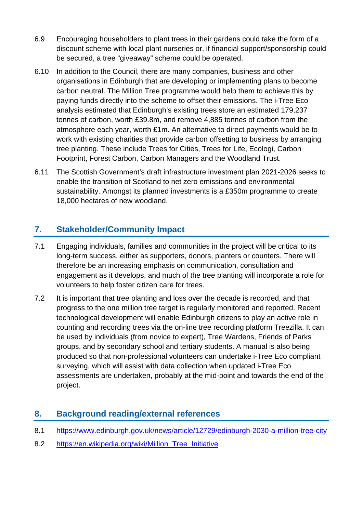- 6.9 Encouraging householders to plant trees in their gardens could take the form of a discount scheme with local plant nurseries or, if financial support/sponsorship could be secured, a tree "giveaway" scheme could be operated.
- 6.10 In addition to the Council, there are many companies, business and other organisations in Edinburgh that are developing or implementing plans to become carbon neutral. The Million Tree programme would help them to achieve this by paying funds directly into the scheme to offset their emissions. The i-Tree Eco analysis estimated that Edinburgh's existing trees store an estimated 179,237 tonnes of carbon, worth £39.8m, and remove 4,885 tonnes of carbon from the atmosphere each year, worth £1m. An alternative to direct payments would be to work with existing charities that provide carbon offsetting to business by arranging tree planting. These include Trees for Cities, Trees for Life, Ecologi, Carbon Footprint, Forest Carbon, Carbon Managers and the Woodland Trust.
- 6.11 The Scottish Government's draft infrastructure investment plan 2021-2026 seeks to enable the transition of Scotland to net zero emissions and environmental sustainability. Amongst its planned investments is a £350m programme to create 18,000 hectares of new woodland.

# **7. Stakeholder/Community Impact**

- 7.1 Engaging individuals, families and communities in the project will be critical to its long-term success, either as supporters, donors, planters or counters. There will therefore be an increasing emphasis on communication, consultation and engagement as it develops, and much of the tree planting will incorporate a role for volunteers to help foster citizen care for trees.
- 7.2 It is important that tree planting and loss over the decade is recorded, and that progress to the one million tree target is regularly monitored and reported. Recent technological development will enable Edinburgh citizens to play an active role in counting and recording trees via the on-line tree recording platform Treezilla. It can be used by individuals (from novice to expert), Tree Wardens, Friends of Parks groups, and by secondary school and tertiary students. A manual is also being produced so that non-professional volunteers can undertake i-Tree Eco compliant surveying, which will assist with data collection when updated i-Tree Eco assessments are undertaken, probably at the mid-point and towards the end of the project.

# **8. Background reading/external references**

- 8.1 <https://www.edinburgh.gov.uk/news/article/12729/edinburgh-2030-a-million-tree-city>
- 8.2 https://en.wikipedia.org/wiki/Million Tree Initiative